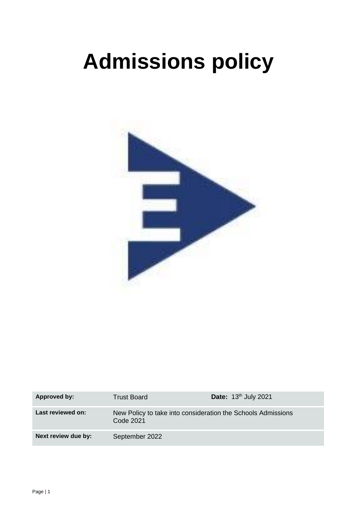# **Admissions policy**



| Approved by:        | <b>Trust Board</b>                                                        | Date: 13 <sup>th</sup> July 2021 |
|---------------------|---------------------------------------------------------------------------|----------------------------------|
| Last reviewed on:   | New Policy to take into consideration the Schools Admissions<br>Code 2021 |                                  |
| Next review due by: | September 2022                                                            |                                  |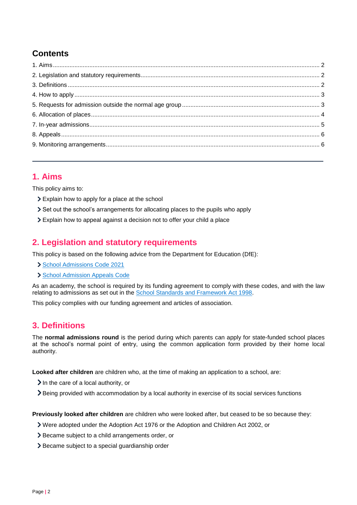## **Contents**

### <span id="page-1-0"></span>**1. Aims**

This policy aims to:

- Explain how to apply for a place at the school
- Set out the school's arrangements for allocating places to the pupils who apply
- Explain how to appeal against a decision not to offer your child a place

## <span id="page-1-1"></span>**2. Legislation and statutory requirements**

This policy is based on the following advice from the Department for Education (DfE):

- [School Admissions Code 2021](https://www.gov.uk/government/publications/school-admissions-code--2)
- > [School Admission Appeals Code](https://www.gov.uk/government/publications/school-admissions-appeals-code)

As an academy, the school is required by its funding agreement to comply with these codes, and with the law relating to admissions as set out in the [School Standards and Framework Act 1998.](http://www.legislation.gov.uk/ukpga/1998/31/contents)

This policy complies with our funding agreement and articles of association.

## <span id="page-1-2"></span>**3. Definitions**

The **normal admissions round** is the period during which parents can apply for state-funded school places at the school's normal point of entry, using the common application form provided by their home local authority.

**Looked after children** are children who, at the time of making an application to a school, are:

 $\sum$  In the care of a local authority, or

Being provided with accommodation by a local authority in exercise of its social services functions

**Previously looked after children** are children who were looked after, but ceased to be so because they:

Were adopted under the Adoption Act 1976 or the Adoption and Children Act 2002, or

- Became subject to a child arrangements order, or
- > Became subject to a special guardianship order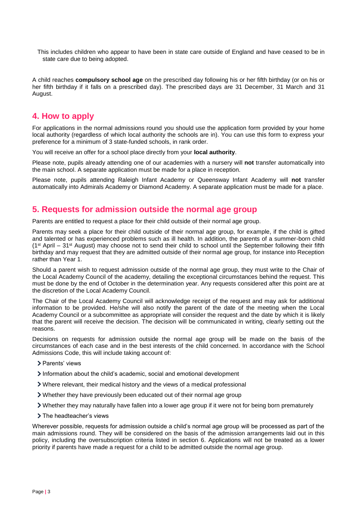This includes children who appear to have been in state care outside of England and have ceased to be in state care due to being adopted.

A child reaches **compulsory school age** on the prescribed day following his or her fifth birthday (or on his or her fifth birthday if it falls on a prescribed day). The prescribed days are 31 December, 31 March and 31 August.

#### <span id="page-2-0"></span>**4. How to apply**

For applications in the normal admissions round you should use the application form provided by your home local authority (regardless of which local authority the schools are in). You can use this form to express your preference for a minimum of 3 state-funded schools, in rank order.

You will receive an offer for a school place directly from your **local authority**.

Please note, pupils already attending one of our academies with a nursery will **not** transfer automatically into the main school. A separate application must be made for a place in reception.

Please note, pupils attending Raleigh Infant Academy or Queensway Infant Academy will **not** transfer automatically into Admirals Academy or Diamond Academy. A separate application must be made for a place.

#### <span id="page-2-1"></span>**5. Requests for admission outside the normal age group**

Parents are entitled to request a place for their child outside of their normal age group.

Parents may seek a place for their child outside of their normal age group, for example, if the child is gifted and talented or has experienced problems such as ill health. In addition, the parents of a summer-born child  $(1<sup>st</sup>$  April – 31<sup>st</sup> August) may choose not to send their child to school until the September following their fifth birthday and may request that they are admitted outside of their normal age group, for instance into Reception rather than Year 1.

Should a parent wish to request admission outside of the normal age group, they must write to the Chair of the Local Academy Council of the academy, detailing the exceptional circumstances behind the request. This must be done by the end of October in the determination year. Any requests considered after this point are at the discretion of the Local Academy Council.

The Chair of the Local Academy Council will acknowledge receipt of the request and may ask for additional information to be provided. He/she will also notify the parent of the date of the meeting when the Local Academy Council or a subcommittee as appropriate will consider the request and the date by which it is likely that the parent will receive the decision. The decision will be communicated in writing, clearly setting out the reasons.

Decisions on requests for admission outside the normal age group will be made on the basis of the circumstances of each case and in the best interests of the child concerned. In accordance with the School Admissions Code, this will include taking account of:

- > Parents' views
- Information about the child's academic, social and emotional development
- Where relevant, their medical history and the views of a medical professional
- Whether they have previously been educated out of their normal age group
- Whether they may naturally have fallen into a lower age group if it were not for being born prematurely
- > The headteacher's views

Wherever possible, requests for admission outside a child's normal age group will be processed as part of the main admissions round. They will be considered on the basis of the admission arrangements laid out in this policy, including the oversubscription criteria listed in section 6. Applications will not be treated as a lower priority if parents have made a request for a child to be admitted outside the normal age group.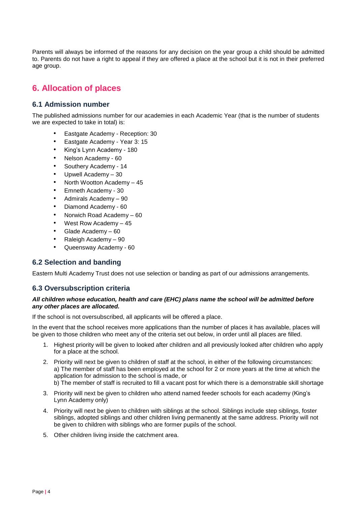Parents will always be informed of the reasons for any decision on the year group a child should be admitted to. Parents do not have a right to appeal if they are offered a place at the school but it is not in their preferred age group.

## <span id="page-3-0"></span>**6. Allocation of places**

#### **6.1 Admission number**

The published admissions number for our academies in each Academic Year (that is the number of students we are expected to take in total) is:

- Eastgate Academy Reception: 30
- Eastgate Academy Year 3: 15
- King's Lynn Academy 180
- Nelson Academy 60
- Southery Academy 14
- Upwell Academy 30
- North Wootton Academy 45
- Emneth Academy 30
- Admirals Academy 90
- Diamond Academy 60
- Norwich Road Academy 60
- West Row Academy  $-45$
- Glade Academy 60
- Raleigh Academy 90
- Queensway Academy 60

#### **6.2 Selection and banding**

Eastern Multi Academy Trust does not use selection or banding as part of our admissions arrangements.

#### **6.3 Oversubscription criteria**

#### *All children whose education, health and care (EHC) plans name the school will be admitted before any other places are allocated.*

If the school is not oversubscribed, all applicants will be offered a place.

In the event that the school receives more applications than the number of places it has available, places will be given to those children who meet any of the criteria set out below, in order until all places are filled.

- 1. Highest priority will be given to looked after children and all previously looked after children who apply for a place at the school.
- 2. Priority will next be given to children of staff at the school, in either of the following circumstances: a) The member of staff has been employed at the school for 2 or more years at the time at which the application for admission to the school is made, or b) The member of staff is recruited to fill a vacant post for which there is a demonstrable skill shortage
- 3. Priority will next be given to children who attend named feeder schools for each academy (King's Lynn Academy only)
- 4. Priority will next be given to children with siblings at the school. Siblings include step siblings, foster siblings, adopted siblings and other children living permanently at the same address. Priority will not be given to children with siblings who are former pupils of the school.
- 5. Other children living inside the catchment area.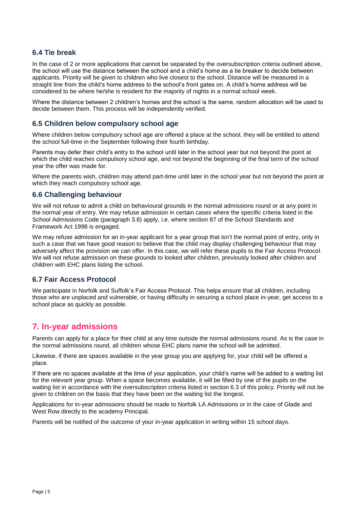#### **6.4 Tie break**

In the case of 2 or more applications that cannot be separated by the oversubscription criteria outlined above, the school will use the distance between the school and a child's home as a tie breaker to decide between applicants. Priority will be given to children who live closest to the school. Distance will be measured in a straight line from the child's home address to the school's front gates on. A child's home address will be considered to be where he/she is resident for the majority of nights in a normal school week.

Where the distance between 2 children's homes and the school is the same, random allocation will be used to decide between them. This process will be independently verified.

#### **6.5 Children below compulsory school age**

Where children below compulsory school age are offered a place at the school, they will be entitled to attend the school full-time in the September following their fourth birthday.

Parents may defer their child's entry to the school until later in the school year but not beyond the point at which the child reaches compulsory school age, and not beyond the beginning of the final term of the school year the offer was made for.

Where the parents wish, children may attend part-time until later in the school year but not beyond the point at which they reach compulsory school age.

#### **6.6 Challenging behaviour**

We will not refuse to admit a child on behavioural grounds in the normal admissions round or at any point in the normal year of entry. We may refuse admission in certain cases where the specific criteria listed in the School Admissions Code (paragraph 3.8) apply, i.e. where section 87 of the School Standards and Framework Act 1998 is engaged.

We may refuse admission for an in-year applicant for a year group that isn't the normal point of entry, only in such a case that we have good reason to believe that the child may display challenging behaviour that may adversely affect the provision we can offer. In this case, we will refer these pupils to the Fair Access Protocol. We will not refuse admission on these grounds to looked after children, previously looked after children and children with EHC plans listing the school.

#### **6.7 Fair Access Protocol**

We participate in Norfolk and Suffolk's Fair Access Protocol. This helps ensure that all children, including those who are unplaced and vulnerable, or having difficulty in securing a school place in-year, get access to a school place as quickly as possible.

## <span id="page-4-0"></span>**7. In-year admissions**

Parents can apply for a place for their child at any time outside the normal admissions round. As is the case in the normal admissions round, all children whose EHC plans name the school will be admitted.

Likewise, if there are spaces available in the year group you are applying for, your child will be offered a place.

If there are no spaces available at the time of your application, your child's name will be added to a waiting list for the relevant year group. When a space becomes available, it will be filled by one of the pupils on the waiting list in accordance with the oversubscription criteria listed in section 6.3 of this policy. Priority will not be given to children on the basis that they have been on the waiting list the longest.

Applications for in-year admissions should be made to Norfolk LA Admissions or in the case of Glade and West Row directly to the academy Principal.

Parents will be notified of the outcome of your in-year application in writing within 15 school days.